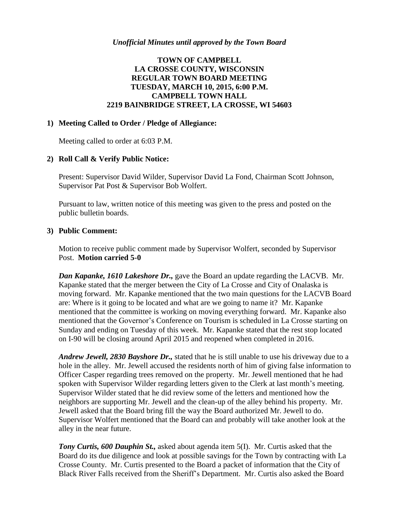## **TOWN OF CAMPBELL LA CROSSE COUNTY, WISCONSIN REGULAR TOWN BOARD MEETING TUESDAY, MARCH 10, 2015, 6:00 P.M. CAMPBELL TOWN HALL 2219 BAINBRIDGE STREET, LA CROSSE, WI 54603**

#### **1) Meeting Called to Order / Pledge of Allegiance:**

Meeting called to order at 6:03 P.M.

#### **2) Roll Call & Verify Public Notice:**

Present: Supervisor David Wilder, Supervisor David La Fond, Chairman Scott Johnson, Supervisor Pat Post & Supervisor Bob Wolfert.

Pursuant to law, written notice of this meeting was given to the press and posted on the public bulletin boards.

#### **3) Public Comment:**

Motion to receive public comment made by Supervisor Wolfert, seconded by Supervisor Post. **Motion carried 5-0**

*Dan Kapanke, 1610 Lakeshore Dr.,* gave the Board an update regarding the LACVB. Mr. Kapanke stated that the merger between the City of La Crosse and City of Onalaska is moving forward. Mr. Kapanke mentioned that the two main questions for the LACVB Board are: Where is it going to be located and what are we going to name it? Mr. Kapanke mentioned that the committee is working on moving everything forward. Mr. Kapanke also mentioned that the Governor's Conference on Tourism is scheduled in La Crosse starting on Sunday and ending on Tuesday of this week. Mr. Kapanke stated that the rest stop located on I-90 will be closing around April 2015 and reopened when completed in 2016.

*Andrew Jewell, 2830 Bayshore Dr.,* stated that he is still unable to use his driveway due to a hole in the alley. Mr. Jewell accused the residents north of him of giving false information to Officer Casper regarding trees removed on the property. Mr. Jewell mentioned that he had spoken with Supervisor Wilder regarding letters given to the Clerk at last month's meeting. Supervisor Wilder stated that he did review some of the letters and mentioned how the neighbors are supporting Mr. Jewell and the clean-up of the alley behind his property. Mr. Jewell asked that the Board bring fill the way the Board authorized Mr. Jewell to do. Supervisor Wolfert mentioned that the Board can and probably will take another look at the alley in the near future.

*Tony Curtis, 600 Dauphin St.,* asked about agenda item 5(I). Mr. Curtis asked that the Board do its due diligence and look at possible savings for the Town by contracting with La Crosse County. Mr. Curtis presented to the Board a packet of information that the City of Black River Falls received from the Sheriff's Department. Mr. Curtis also asked the Board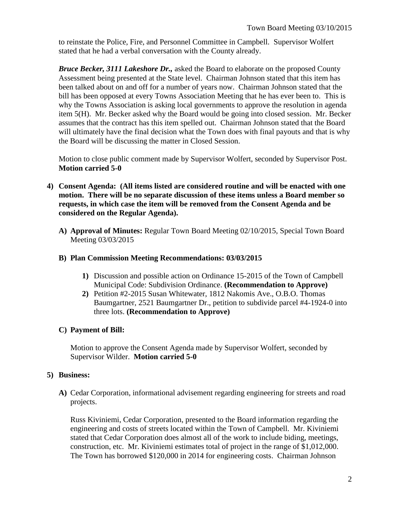to reinstate the Police, Fire, and Personnel Committee in Campbell. Supervisor Wolfert stated that he had a verbal conversation with the County already.

*Bruce Becker, 3111 Lakeshore Dr.,* asked the Board to elaborate on the proposed County Assessment being presented at the State level. Chairman Johnson stated that this item has been talked about on and off for a number of years now. Chairman Johnson stated that the bill has been opposed at every Towns Association Meeting that he has ever been to. This is why the Towns Association is asking local governments to approve the resolution in agenda item 5(H). Mr. Becker asked why the Board would be going into closed session. Mr. Becker assumes that the contract has this item spelled out. Chairman Johnson stated that the Board will ultimately have the final decision what the Town does with final payouts and that is why the Board will be discussing the matter in Closed Session.

Motion to close public comment made by Supervisor Wolfert, seconded by Supervisor Post. **Motion carried 5-0**

- **4) Consent Agenda: (All items listed are considered routine and will be enacted with one motion. There will be no separate discussion of these items unless a Board member so requests, in which case the item will be removed from the Consent Agenda and be considered on the Regular Agenda).**
	- **A) Approval of Minutes:** Regular Town Board Meeting 02/10/2015, Special Town Board Meeting 03/03/2015

### **B) Plan Commission Meeting Recommendations: 03/03/2015**

- **1)** Discussion and possible action on Ordinance 15-2015 of the Town of Campbell Municipal Code: Subdivision Ordinance. **(Recommendation to Approve)**
- **2)** Petition #2-2015 Susan Whitewater, 1812 Nakomis Ave., O.B.O. Thomas Baumgartner, 2521 Baumgartner Dr., petition to subdivide parcel #4-1924-0 into three lots. **(Recommendation to Approve)**

### **C) Payment of Bill:**

Motion to approve the Consent Agenda made by Supervisor Wolfert, seconded by Supervisor Wilder. **Motion carried 5-0**

### **5) Business:**

**A)** Cedar Corporation, informational advisement regarding engineering for streets and road projects.

Russ Kiviniemi, Cedar Corporation, presented to the Board information regarding the engineering and costs of streets located within the Town of Campbell. Mr. Kiviniemi stated that Cedar Corporation does almost all of the work to include biding, meetings, construction, etc. Mr. Kiviniemi estimates total of project in the range of \$1,012,000. The Town has borrowed \$120,000 in 2014 for engineering costs. Chairman Johnson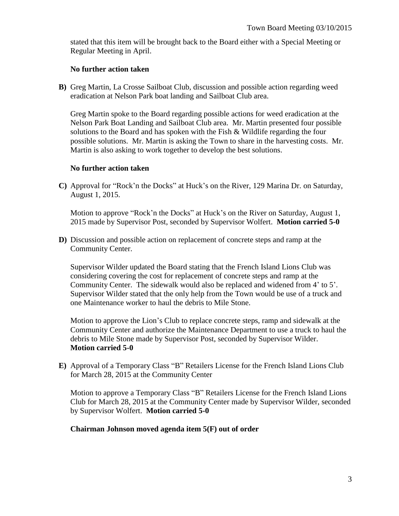stated that this item will be brought back to the Board either with a Special Meeting or Regular Meeting in April.

#### **No further action taken**

**B)** Greg Martin, La Crosse Sailboat Club, discussion and possible action regarding weed eradication at Nelson Park boat landing and Sailboat Club area.

Greg Martin spoke to the Board regarding possible actions for weed eradication at the Nelson Park Boat Landing and Sailboat Club area. Mr. Martin presented four possible solutions to the Board and has spoken with the Fish & Wildlife regarding the four possible solutions. Mr. Martin is asking the Town to share in the harvesting costs. Mr. Martin is also asking to work together to develop the best solutions.

#### **No further action taken**

**C)** Approval for "Rock'n the Docks" at Huck's on the River, 129 Marina Dr. on Saturday, August 1, 2015.

Motion to approve "Rock'n the Docks" at Huck's on the River on Saturday, August 1, 2015 made by Supervisor Post, seconded by Supervisor Wolfert. **Motion carried 5-0**

**D)** Discussion and possible action on replacement of concrete steps and ramp at the Community Center.

Supervisor Wilder updated the Board stating that the French Island Lions Club was considering covering the cost for replacement of concrete steps and ramp at the Community Center. The sidewalk would also be replaced and widened from 4' to 5'. Supervisor Wilder stated that the only help from the Town would be use of a truck and one Maintenance worker to haul the debris to Mile Stone.

Motion to approve the Lion's Club to replace concrete steps, ramp and sidewalk at the Community Center and authorize the Maintenance Department to use a truck to haul the debris to Mile Stone made by Supervisor Post, seconded by Supervisor Wilder. **Motion carried 5-0**

**E)** Approval of a Temporary Class "B" Retailers License for the French Island Lions Club for March 28, 2015 at the Community Center

Motion to approve a Temporary Class "B" Retailers License for the French Island Lions Club for March 28, 2015 at the Community Center made by Supervisor Wilder, seconded by Supervisor Wolfert. **Motion carried 5-0**

#### **Chairman Johnson moved agenda item 5(F) out of order**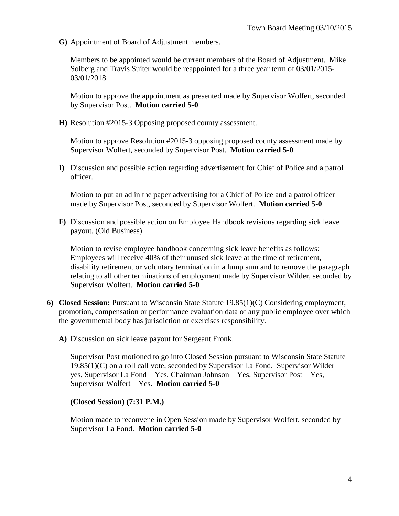**G)** Appointment of Board of Adjustment members.

Members to be appointed would be current members of the Board of Adjustment. Mike Solberg and Travis Suiter would be reappointed for a three year term of 03/01/2015- 03/01/2018.

Motion to approve the appointment as presented made by Supervisor Wolfert, seconded by Supervisor Post. **Motion carried 5-0**

**H)** Resolution #2015-3 Opposing proposed county assessment.

Motion to approve Resolution #2015-3 opposing proposed county assessment made by Supervisor Wolfert, seconded by Supervisor Post. **Motion carried 5-0**

**I)** Discussion and possible action regarding advertisement for Chief of Police and a patrol officer.

Motion to put an ad in the paper advertising for a Chief of Police and a patrol officer made by Supervisor Post, seconded by Supervisor Wolfert. **Motion carried 5-0**

**F)** Discussion and possible action on Employee Handbook revisions regarding sick leave payout. (Old Business)

Motion to revise employee handbook concerning sick leave benefits as follows: Employees will receive 40% of their unused sick leave at the time of retirement, disability retirement or voluntary termination in a lump sum and to remove the paragraph relating to all other terminations of employment made by Supervisor Wilder, seconded by Supervisor Wolfert. **Motion carried 5-0**

- **6) Closed Session:** Pursuant to Wisconsin State Statute 19.85(1)(C) Considering employment, promotion, compensation or performance evaluation data of any public employee over which the governmental body has jurisdiction or exercises responsibility.
	- **A)** Discussion on sick leave payout for Sergeant Fronk.

Supervisor Post motioned to go into Closed Session pursuant to Wisconsin State Statute  $19.85(1)(C)$  on a roll call vote, seconded by Supervisor La Fond. Supervisor Wilder – yes, Supervisor La Fond – Yes, Chairman Johnson – Yes, Supervisor Post – Yes, Supervisor Wolfert – Yes. **Motion carried 5-0**

#### **(Closed Session) (7:31 P.M.)**

Motion made to reconvene in Open Session made by Supervisor Wolfert, seconded by Supervisor La Fond. **Motion carried 5-0**